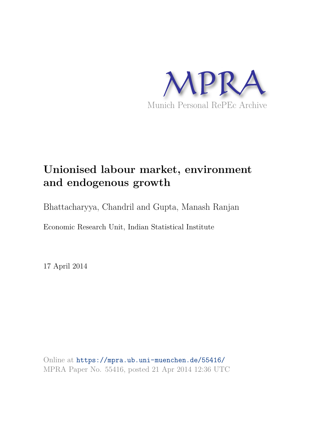

## **Unionised labour market, environment and endogenous growth**

Bhattacharyya, Chandril and Gupta, Manash Ranjan

Economic Research Unit, Indian Statistical Institute

17 April 2014

Online at https://mpra.ub.uni-muenchen.de/55416/ MPRA Paper No. 55416, posted 21 Apr 2014 12:36 UTC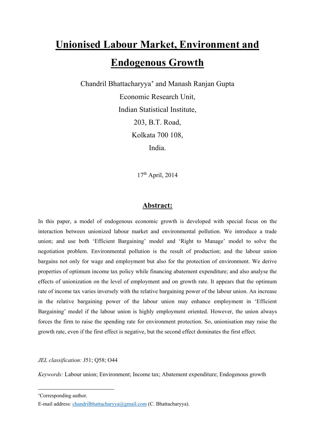# **Unionised Labour Market, Environment and Endogenous Growth**

Chandril Bhattacharyya[∗](#page-1-0) and Manash Ranjan Gupta Economic Research Unit, Indian Statistical Institute, 203, B.T. Road, Kolkata 700 108, India.

17th April, 2014

### **Abstract:**

In this paper, a model of endogenous economic growth is developed with special focus on the interaction between unionized labour market and environmental pollution. We introduce a trade union; and use both 'Efficient Bargaining' model and 'Right to Manage' model to solve the negotiation problem. Environmental pollution is the result of production; and the labour union bargains not only for wage and employment but also for the protection of environment. We derive properties of optimum income tax policy while financing abatement expenditure; and also analyse the effects of unionization on the level of employment and on growth rate. It appears that the optimum rate of income tax varies inversely with the relative bargaining power of the labour union. An increase in the relative bargaining power of the labour union may enhance employment in 'Efficient Bargaining' model if the labour union is highly employment oriented. However, the union always forces the firm to raise the spending rate for environment protection. So, unionisation may raise the growth rate, even if the first effect is negative, but the second effect dominates the first effect.

*JEL classification:* J51; Q58; O44

*Keywords:* Labour union; Environment; Income tax; Abatement expenditure; Endogenous growth

<span id="page-1-0"></span><sup>∗</sup>Corresponding author.

E-mail address: chandrilbhattacharyya@gmail.com (C. Bhattacharyya).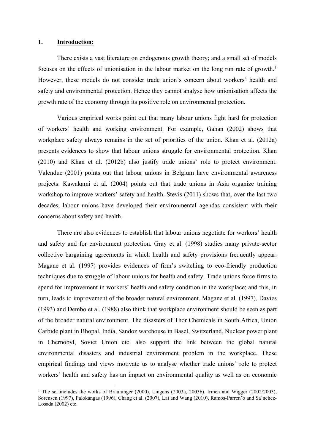#### **1. Introduction:**

 $\overline{a}$ 

There exists a vast literature on endogenous growth theory; and a small set of models focuses on the effects of unionisation in the labour market on the long run rate of growth.<sup>[1](#page-2-0)</sup> However, these models do not consider trade union's concern about workers' health and safety and environmental protection. Hence they cannot analyse how unionisation affects the growth rate of the economy through its positive role on environmental protection.

Various empirical works point out that many labour unions fight hard for protection of workers' health and working environment. For example, Gahan (2002) shows that workplace safety always remains in the set of priorities of the union. Khan et al. (2012a) presents evidences to show that labour unions struggle for environmental protection. Khan (2010) and Khan et al. (2012b) also justify trade unions' role to protect environment. Valenduc (2001) points out that labour unions in Belgium have environmental awareness projects. Kawakami et al. (2004) points out that trade unions in Asia organize training workshop to improve workers' safety and health. Stevis (2011) shows that, over the last two decades, labour unions have developed their environmental agendas consistent with their concerns about safety and health.

There are also evidences to establish that labour unions negotiate for workers' health and safety and for environment protection. Gray et al. (1998) studies many private-sector collective bargaining agreements in which health and safety provisions frequently appear. Magane et al. (1997) provides evidences of firm's switching to eco-friendly production techniques due to struggle of labour unions for health and safety. Trade unions force firms to spend for improvement in workers' health and safety condition in the workplace; and this, in turn, leads to improvement of the broader natural environment. Magane et al. (1997), Davies (1993) and Dembo et al. (1988) also think that workplace environment should be seen as part of the broader natural environment. The disasters of Thor Chemicals in South Africa, Union Carbide plant in Bhopal, India, Sandoz warehouse in Basel, Switzerland, Nuclear power plant in Chernobyl, Soviet Union etc. also support the link between the global natural environmental disasters and industrial environment problem in the workplace. These empirical findings and views motivate us to analyse whether trade unions' role to protect workers' health and safety has an impact on environmental quality as well as on economic

<span id="page-2-0"></span><sup>&</sup>lt;sup>1</sup> The set includes the works of Bräuninger (2000), Lingens (2003a, 2003b), Irmen and Wigger (2002/2003), Sorensen (1997), Palokangas (1996), Chang et al. (2007), Lai and Wang (2010), Ramos-Parren˜o and Sa´nchez-Losada (2002) etc.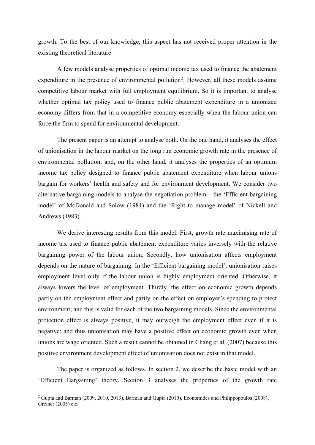growth. To the best of our knowledge, this aspect has not received proper attention in the existing theoretical literature.

A few models analyse properties of optimal income tax used to finance the abatement expenditure in the presence of environmental pollution<sup>[2](#page-3-0)</sup>. However, all these models assume competitive labour market with full employment equilibrium. So it is important to analyse whether optimal tax policy used to finance public abatement expenditure in a unionized economy differs from that in a competitive economy especially when the labour union can force the firm to spend for environmental development.

The present paper is an attempt to analyse both. On the one hand, it analyses the effect of unionisation in the labour market on the long run economic growth rate in the presence of environmental pollution; and, on the other hand, it analyses the properties of an optimum income tax policy designed to finance public abatement expenditure when labour unions bargain for workers' health and safety and for environment development. We consider two alternative bargaining models to analyse the negotiation problem – the 'Efficient bargaining model' of McDonald and Solow (1981) and the 'Right to manage model' of Nickell and Andrews (1983).

We derive interesting results from this model. First, growth rate maximising rate of income tax used to finance public abatement expenditure varies inversely with the relative bargaining power of the labour union. Secondly, how unionisation affects employment depends on the nature of bargaining. In the 'Efficient bargaining model', unionisation raises employment level only if the labour union is highly employment oriented. Otherwise, it always lowers the level of employment. Thirdly, the effect on economic growth depends partly on the employment effect and partly on the effect on employer's spending to protect environment; and this is valid for each of the two bargaining models. Since the environmental protection effect is always positive, it may outweigh the employment effect even if it is negative; and thus unionisation may have a positive effect on economic growth even when unions are wage oriented. Such a result cannot be obtained in Chang et al. (2007) because this positive environment development effect of unionisation does not exist in that model.

The paper is organized as follows. In section 2, we describe the basic model with an 'Efficient Bargaining' theory. Section 3 analyses the properties of the growth rate

<span id="page-3-0"></span><sup>2</sup> Gupta and Barman (2009, 2010, 2013), Barman and Gupta (2010), Economides and Philippopoulos (2008), Greiner (2005) etc.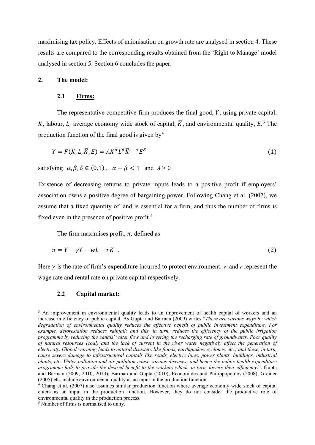maximising tax policy. Effects of unionisation on growth rate are analysed in section 4. These results are compared to the corresponding results obtained from the 'Right to Manage' model analysed in section 5. Section 6 concludes the paper.

#### **2. The model:**

#### **2.1 Firms:**

The representative competitive firm produces the final good,  $Y$ , using private capital, K, labour, *L*, average economy wide stock of capital,  $\overline{K}$ , and environmental quality, *E*.<sup>[3](#page-4-0)</sup> The production function of the final good is given by  $4$ 

$$
Y = F(K, L, \overline{K}, E) = AK^{\alpha}L^{\beta}\overline{K}^{1-\alpha}E^{\delta}
$$
\n<sup>(1)</sup>

satisfying  $\alpha, \beta, \delta \in (0,1)$ ,  $\alpha + \beta < 1$  and  $A > 0$ .

Existence of decreasing returns to private inputs leads to a positive profit if employers' association owns a positive degree of bargaining power. Following Chang et al. (2007), we assume that a fixed quantity of land is essential for a firm; and thus the number of firms is fixed even in the presence of positive profit.<sup>[5](#page-4-2)</sup>

The firm maximises profit,  $\pi$ , defined as

$$
\pi = Y - \gamma Y - wL - rK \quad . \tag{2}
$$

Here  $\gamma$  is the rate of firm's expenditure incurred to protect environment. *w* and *r* represent the wage rate and rental rate on private capital respectively.

#### **2.2 Capital market:**

<span id="page-4-0"></span><sup>&</sup>lt;sup>3</sup> An improvement in environmental quality leads to an improvement of health capital of workers and an increase in efficiency of public capital. As Gupta and Barman (2009) writes "*There are various ways by which degradation of environmental quality reduces the effective benefit of public investment expenditure. For example, deforestation reduces rainfall; and this, in turn, reduces the efficiency of the public irrigation programme by reducing the canals' water flow and lowering the recharging rate of groundwater. Poor quality of natural resources (coal) and the lack of current in the river water negatively affect the generation of electricity. Global warming leads to natural disasters like floods, earthquakes, cyclones, etc.; and these, in turn, cause severe damage to infrastructural capitals like roads, electric lines, power plants, buildings, industrial plants, etc. Water pollution and air pollution cause various diseases; and hence the public health expenditure programme fails to provide the desired benefit to the workers which, in turn, lowers their efficiency*.". Gupta and Barman (2009, 2010, 2013), Barman and Gupta (2010), Economides and Philippopoulos (2008), Greiner (2005) etc. include environmental quality as an input in the production function.

<span id="page-4-1"></span><sup>4</sup> Chang et al. (2007) also assumes similar production function where average economy wide stock of capital enters as an input in the production function. However, they do not consider the productive role of environmental quality in the production process.

<span id="page-4-2"></span><sup>5</sup> Number of firms is normalised to unity.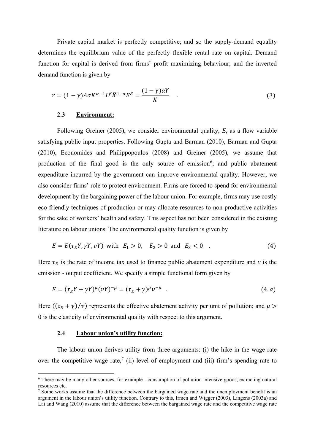Private capital market is perfectly competitive; and so the supply-demand equality determines the equilibrium value of the perfectly flexible rental rate on capital. Demand function for capital is derived from firms' profit maximizing behaviour; and the inverted demand function is given by

$$
r = (1 - \gamma)A\alpha K^{\alpha - 1}L^{\beta}\overline{K}^{1 - \alpha}E^{\delta} = \frac{(1 - \gamma)\alpha Y}{K} \quad . \tag{3}
$$

#### **2.3 Environment:**

Following Greiner (2005), we consider environmental quality, *E*, as a flow variable satisfying public input properties. Following Gupta and Barman (2010), Barman and Gupta (2010), Economides and Philippopoulos (2008) and Greiner (2005), we assume that production of the final good is the only source of emission<sup>[6](#page-5-0)</sup>; and public abatement expenditure incurred by the government can improve environmental quality. However, we also consider firms' role to protect environment. Firms are forced to spend for environmental development by the bargaining power of the labour union. For example, firms may use costly eco-friendly techniques of production or may allocate resources to non-productive activities for the sake of workers' health and safety. This aspect has not been considered in the existing literature on labour unions. The environmental quality function is given by

$$
E = E(\tau_E Y, \gamma Y, \nu Y) \text{ with } E_1 > 0, \quad E_2 > 0 \text{ and } E_3 < 0 \quad . \tag{4}
$$

Here  $\tau_E$  is the rate of income tax used to finance public abatement expenditure and *v* is the emission - output coefficient. We specify a simple functional form given by

$$
E = (\tau_E Y + \gamma Y)^{\mu} (\nu Y)^{-\mu} = (\tau_E + \gamma)^{\mu} \nu^{-\mu} \quad . \tag{4. a}
$$

Here  $((\tau_E + \gamma)/v)$  represents the effective abatement activity per unit of pollution; and  $\mu$ 0 is the elasticity of environmental quality with respect to this argument.

#### **2.4 Labour union's utility function:**

 $\overline{a}$ 

The labour union derives utility from three arguments: (i) the hike in the wage rate over the competitive wage rate,<sup>[7](#page-5-1)</sup> (ii) level of employment and (iii) firm's spending rate to

<span id="page-5-0"></span><sup>6</sup> There may be many other sources, for example - consumption of pollution intensive goods, extracting natural resources etc.

<span id="page-5-1"></span><sup>&</sup>lt;sup>7</sup> Some works assume that the difference between the bargained wage rate and the unemployment benefit is an argument in the labour union's utility function. Contrary to this, Irmen and Wigger (2003), Lingens (2003a) and Lai and Wang (2010) assume that the difference between the bargained wage rate and the competitive wage rate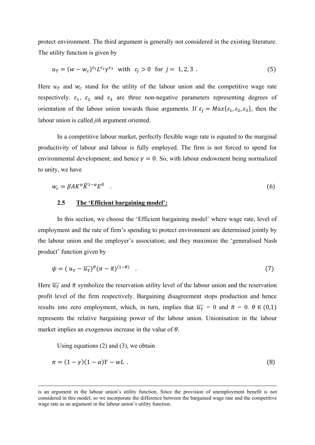protect environment. The third argument is generally not considered in the existing literature. The utility function is given by

$$
u_T = (w - w_c)^{\varepsilon_1} L^{\varepsilon_2} \gamma^{\varepsilon_3} \quad \text{with} \quad \varepsilon_j > 0 \quad \text{for} \quad j = 1, 2, 3 \tag{5}
$$

Here  $u_T$  and  $w_c$  stand for the utility of the labour union and the competitive wage rate respectively.  $\varepsilon_1$ ,  $\varepsilon_2$  and  $\varepsilon_3$  are three non-negative parameters representing degrees of orientation of the labour union towards those arguments. If  $\varepsilon_j = Max{\varepsilon_1, \varepsilon_2, \varepsilon_3}$ , then the labour union is called *jth* argument oriented.

In a competitive labour market, perfectly flexible wage rate is equated to the marginal productivity of labour and labour is fully employed. The firm is not forced to spend for environmental development; and hence  $\gamma = 0$ . So, with labour endowment being normalized to unity, we have

$$
w_c = \beta A K^{\alpha} \overline{K}^{1-\alpha} E^{\delta} \quad . \tag{6}
$$

#### **2.5 The 'Efficient bargaining model':**

In this section, we choose the 'Efficient bargaining model' where wage rate, level of employment and the rate of firm's spending to protect environment are determined jointly by the labour union and the employer's association; and they maximize the 'generalised Nash product' function given by

$$
\psi = (u_T - \overline{u_T})^{\theta} (\pi - \overline{\pi})^{(1-\theta)} \quad . \tag{7}
$$

Here  $\overline{u}$  and  $\overline{\pi}$  symbolize the reservation utility level of the labour union and the reservation profit level of the firm respectively. Bargaining disagreement stops production and hence results into zero employment, which, in turn, implies that  $\overline{u}_T = 0$  and  $\overline{\pi} = 0$ .  $\theta \in (0,1)$ represents the relative bargaining power of the labour union. Unionisation in the labour market implies an exogenous increase in the value of  $\theta$ .

Using equations (2) and (3), we obtain

$$
\pi = (1 - \gamma)(1 - \alpha)Y - wL \tag{8}
$$

is an argument in the labour union's utility function. Since the provision of unemployment benefit is not considered in this model, so we incorporate the difference between the bargained wage rate and the competitive wage rate as an argument in the labour union's utility function.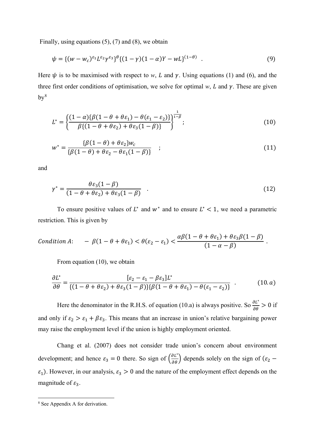Finally, using equations  $(5)$ ,  $(7)$  and  $(8)$ , we obtain

$$
\psi = \{ (w - w_c)^{\varepsilon_1} L^{\varepsilon_2} \gamma^{\varepsilon_3} \}^{\theta} \{ (1 - \gamma)(1 - \alpha)Y - wL \}^{(1 - \theta)} \quad . \tag{9}
$$

Here  $\psi$  is to be maximised with respect to *w*, *L* and  $\gamma$ . Using equations (1) and (6), and the three first order conditions of optimisation, we solve for optimal  $w$ ,  $L$  and  $\gamma$ . These are given  $bv<sup>8</sup>$  $bv<sup>8</sup>$  $bv<sup>8</sup>$ 

$$
L^* = \left\{ \frac{(1-\alpha)\{\beta(1-\theta+\theta\epsilon_1) - \theta(\epsilon_1-\epsilon_2)\}}{\beta\{(1-\theta+\theta\epsilon_2) + \theta\epsilon_3(1-\beta)\}} \right\}^{\frac{1}{1-\beta}};
$$
\n(10)

$$
w^* = \frac{\{\beta(1-\theta) + \theta \varepsilon_2\} w_c}{\{\beta(1-\theta) + \theta \varepsilon_2 - \theta \varepsilon_1(1-\beta)\}} \quad ; \tag{11}
$$

and

$$
\gamma^* = \frac{\theta \varepsilon_3 (1 - \beta)}{(1 - \theta + \theta \varepsilon_2) + \theta \varepsilon_3 (1 - \beta)} \quad . \tag{12}
$$

To ensure positive values of  $L^*$  and  $w^*$  and to ensure  $L^*$  < 1, we need a parametric restriction. This is given by

Condition A: 
$$
-\beta(1-\theta+\theta\epsilon_1) < \theta(\epsilon_2-\epsilon_1) < \frac{\alpha\beta(1-\theta+\theta\epsilon_1)+\theta\epsilon_3\beta(1-\beta)}{(1-\alpha-\beta)}.
$$

From equation (10), we obtain

$$
\frac{\partial L^*}{\partial \theta} = \frac{[\varepsilon_2 - \varepsilon_1 - \beta \varepsilon_3] L^*}{\{(1 - \theta + \theta \varepsilon_2) + \theta \varepsilon_3 (1 - \beta)\} \{\beta (1 - \theta + \theta \varepsilon_1) - \theta (\varepsilon_1 - \varepsilon_2)\}} \tag{10. a}
$$

Here the denominator in the R.H.S. of equation (10.a) is always positive. So  $\frac{\partial L^*}{\partial \theta} > 0$  if and only if  $\varepsilon_2 > \varepsilon_1 + \beta \varepsilon_3$ . This means that an increase in union's relative bargaining power may raise the employment level if the union is highly employment oriented.

Chang et al. (2007) does not consider trade union's concern about environment development; and hence  $\varepsilon_3 = 0$  there. So sign of  $\left(\frac{\partial L^*}{\partial \theta}\right)$  depends solely on the sign of  $(\varepsilon_2$  –  $\varepsilon_1$ ). However, in our analysis,  $\varepsilon_3 > 0$  and the nature of the employment effect depends on the magnitude of  $\varepsilon_3$ .

<span id="page-7-0"></span><sup>8</sup> See Appendix A for derivation.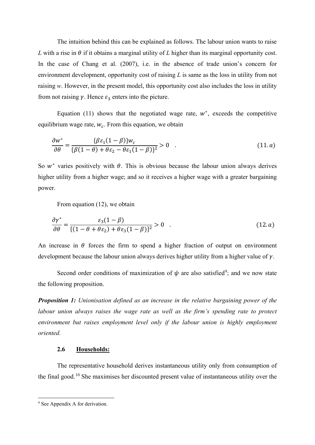The intuition behind this can be explained as follows. The labour union wants to raise *L* with a rise in  $\theta$  if it obtains a marginal utility of *L* higher than its marginal opportunity cost. In the case of Chang et al. (2007), i.e. in the absence of trade union's concern for environment development, opportunity cost of raising *L* is same as the loss in utility from not raising *w*. However, in the present model, this opportunity cost also includes the loss in utility from not raising  $\gamma$ . Hence  $\varepsilon_3$  enters into the picture.

Equation (11) shows that the negotiated wage rate,  $w^*$ , exceeds the competitive equilibrium wage rate,  $w_c$ . From this equation, we obtain

$$
\frac{\partial w^*}{\partial \theta} = \frac{\{\beta \varepsilon_1 (1 - \beta)\} w_c}{\{\beta (1 - \theta) + \theta \varepsilon_2 - \theta \varepsilon_1 (1 - \beta)\}^2} > 0 \quad . \tag{11. a}
$$

So  $w^*$  varies positively with  $\theta$ . This is obvious because the labour union always derives higher utility from a higher wage; and so it receives a higher wage with a greater bargaining power.

From equation (12), we obtain

$$
\frac{\partial \gamma^*}{\partial \theta} = \frac{\varepsilon_3 (1 - \beta)}{\{(1 - \theta + \theta \varepsilon_2) + \theta \varepsilon_3 (1 - \beta)\}^2} > 0 \quad . \tag{12. a}
$$

An increase in  $\theta$  forces the firm to spend a higher fraction of output on environment development because the labour union always derives higher utility from a higher value of  $\gamma$ .

Second order conditions of maximization of  $\psi$  are also satisfied<sup>[9](#page-8-0)</sup>; and we now state the following proposition.

*Proposition 1: Unionisation defined as an increase in the relative bargaining power of the labour union always raises the wage rate as well as the firm's spending rate to protect environment but raises employment level only if the labour union is highly employment oriented.* 

#### **2.6 Households:**

The representative household derives instantaneous utility only from consumption of the final good.[10](#page-8-1) She maximises her discounted present value of instantaneous utility over the

<span id="page-8-1"></span><span id="page-8-0"></span><sup>&</sup>lt;sup>9</sup> See Appendix A for derivation.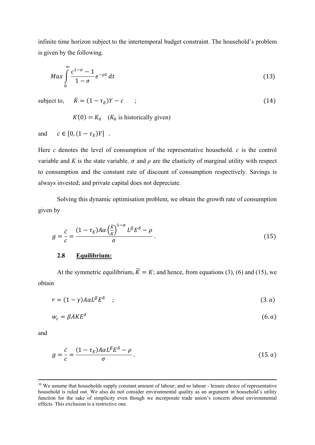infinite time horizon subject to the intertemporal budget constraint. The household's problem is given by the following.

$$
Max \int_{0}^{\infty} \frac{c^{1-\sigma} - 1}{1 - \sigma} e^{-\rho t} dt
$$
\n(13)

subject to,  $\dot{K} = (1 - \tau_E)Y - c$  ; (14)

 $K(0) = K_0$  ( $K_0$  is historically given)

and  $c \in [0, (1 - \tau_E)Y]$ .

Here *c* denotes the level of consumption of the representative household. *c* is the control variable and *K* is the state variable.  $\sigma$  and  $\rho$  are the elasticity of marginal utility with respect to consumption and the constant rate of discount of consumption respectively. Savings is always invested; and private capital does not depreciate.

Solving this dynamic optimisation problem, we obtain the growth rate of consumption given by

$$
g = \frac{\dot{c}}{c} = \frac{(1 - \tau_E)A\alpha \left(\frac{\bar{K}}{K}\right)^{1-\alpha} L^{\beta} E^{\delta} - \rho}{\sigma} \,. \tag{15}
$$

#### **2.8 Equilibrium:**

At the symmetric equilibrium,  $\overline{K} = K$ ; and hence, from equations (3), (6) and (15), we obtain

$$
r = (1 - \gamma)A\alpha L^{\beta}E^{\delta} \quad ; \tag{3. a}
$$

$$
w_c = \beta A K E^{\delta} \tag{6. a}
$$

and

$$
g = \frac{\dot{c}}{c} = \frac{(1 - \tau_E)A\alpha L^{\beta}E^{\delta} - \rho}{\sigma}.
$$
\n(15. a)

<sup>&</sup>lt;sup>10</sup> We assume that households supply constant amount of labour; and so labour - leisure choice of representative household is ruled out. We also do not consider environmental quality as an argument in household's utility function for the sake of simplicity even though we incorporate trade union's concern about environmental effects. This exclusion is a restrictive one.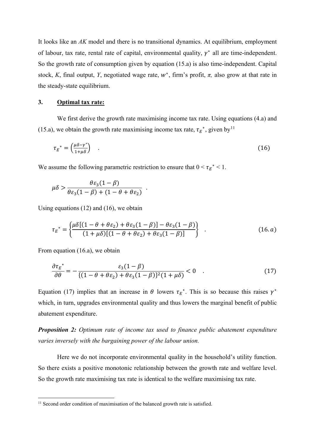It looks like an *AK* model and there is no transitional dynamics. At equilibrium, employment of labour, tax rate, rental rate of capital, environmental quality,  $\gamma^*$  all are time-independent. So the growth rate of consumption given by equation (15.a) is also time-independent. Capital stock, *K*, final output, *Y*, negotiated wage rate,  $w^*$ , firm's profit,  $\pi$ , also grow at that rate in the steady-state equilibrium.

#### **3. Optimal tax rate:**

We first derive the growth rate maximising income tax rate. Using equations  $(4.a)$  and (15.a), we obtain the growth rate maximising income tax rate,  $\tau_E^*$ , given by  $\mu_E^*$ 

$$
\tau_E^* = \left(\frac{\mu \delta - \gamma^*}{1 + \mu \delta}\right) \quad . \tag{16}
$$

We assume the following parametric restriction to ensure that  $0 \lt \tau_E^* \lt 1$ .

$$
\mu\delta > \frac{\theta\epsilon_3(1-\beta)}{\theta\epsilon_3(1-\beta) + (1-\theta+\theta\epsilon_2)}.
$$

Using equations (12) and (16), we obtain

$$
\tau_E^* = \left\{ \frac{\mu \delta [(1 - \theta + \theta \varepsilon_2) + \theta \varepsilon_3 (1 - \beta)] - \theta \varepsilon_3 (1 - \beta)}{(1 + \mu \delta)[(1 - \theta + \theta \varepsilon_2) + \theta \varepsilon_3 (1 - \beta)]} \right\} \quad . \tag{16. a}
$$

From equation (16.a), we obtain

 $\overline{a}$ 

$$
\frac{\partial \tau_E^*}{\partial \theta} = -\frac{\varepsilon_3 (1 - \beta)}{\{(1 - \theta + \theta \varepsilon_2) + \theta \varepsilon_3 (1 - \beta)\}^2 (1 + \mu \delta)} < 0 \quad . \tag{17}
$$

Equation (17) implies that an increase in  $\theta$  lowers  $\tau_E^*$ . This is so because this raises  $\gamma^*$ which, in turn, upgrades environmental quality and thus lowers the marginal benefit of public abatement expenditure.

*Proposition 2: Optimum rate of income tax used to finance public abatement expenditure varies inversely with the bargaining power of the labour union.* 

Here we do not incorporate environmental quality in the household's utility function. So there exists a positive monotonic relationship between the growth rate and welfare level. So the growth rate maximising tax rate is identical to the welfare maximising tax rate.

<span id="page-10-0"></span><sup>&</sup>lt;sup>11</sup> Second order condition of maximisation of the balanced growth rate is satisfied.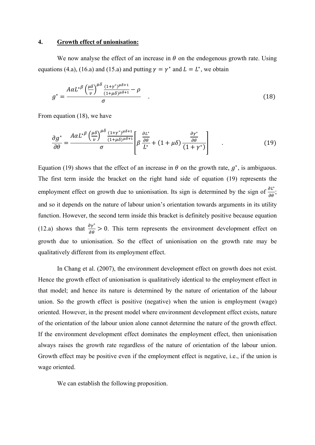#### **4. Growth effect of unionisation:**

We now analyse the effect of an increase in  $\theta$  on the endogenous growth rate. Using equations (4.a), (16.a) and (15.a) and putting  $\gamma = \gamma^*$  and  $L = L^*$ , we obtain

$$
g^* = \frac{A\alpha L^{*\beta} \left(\frac{\mu\delta}{v}\right)^{\mu\delta} \frac{(1+\gamma^*)^{\mu\delta+1}}{(1+\mu\delta)^{\mu\delta+1}} - \rho}{\sigma} \quad . \tag{18}
$$

From equation (18), we have

$$
\frac{\partial g^*}{\partial \theta} = \frac{A \alpha L^{*\beta} \left(\frac{\mu \delta}{\nu}\right)^{\mu \delta} \frac{(1+\gamma^*)^{\mu \delta+1}}{(1+\mu \delta)^{\mu \delta+1}}}{\sigma} \left[ \beta \frac{\frac{\partial L^*}{\partial \theta}}{L^*} + (1+\mu \delta) \frac{\frac{\partial \gamma^*}{\partial \theta}}{(1+\gamma^*)} \right] \tag{19}
$$

Equation (19) shows that the effect of an increase in  $\theta$  on the growth rate,  $g^*$ , is ambiguous. The first term inside the bracket on the right hand side of equation (19) represents the employment effect on growth due to unionisation. Its sign is determined by the sign of  $\frac{\partial L^*}{\partial \theta}$ ; and so it depends on the nature of labour union's orientation towards arguments in its utility function. However, the second term inside this bracket is definitely positive because equation (12.a) shows that  $\frac{\partial y^*}{\partial \theta} > 0$ . This term represents the environment development effect on growth due to unionisation. So the effect of unionisation on the growth rate may be qualitatively different from its employment effect.

In Chang et al. (2007), the environment development effect on growth does not exist. Hence the growth effect of unionisation is qualitatively identical to the employment effect in that model; and hence its nature is determined by the nature of orientation of the labour union. So the growth effect is positive (negative) when the union is employment (wage) oriented. However, in the present model where environment development effect exists, nature of the orientation of the labour union alone cannot determine the nature of the growth effect. If the environment development effect dominates the employment effect, then unionisation always raises the growth rate regardless of the nature of orientation of the labour union. Growth effect may be positive even if the employment effect is negative, i.e., if the union is wage oriented.

We can establish the following proposition.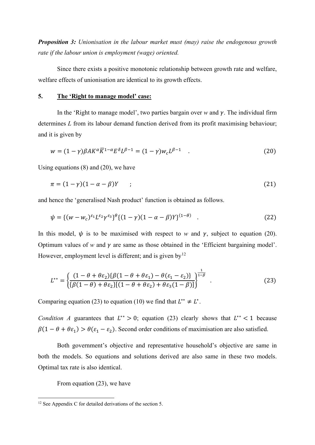*Proposition 3: Unionisation in the labour market must (may) raise the endogenous growth rate if the labour union is employment (wage) oriented.* 

Since there exists a positive monotonic relationship between growth rate and welfare, welfare effects of unionisation are identical to its growth effects.

#### **5. The 'Right to manage model' case:**

In the 'Right to manage model', two parties bargain over *w* and  $\gamma$ . The individual firm determines *L* from its labour demand function derived from its profit maximising behaviour; and it is given by

$$
w = (1 - \gamma)\beta A K^{\alpha} \overline{K}^{1-\alpha} E^{\delta} L^{\beta - 1} = (1 - \gamma) w_c L^{\beta - 1} \quad . \tag{20}
$$

Using equations (8) and (20), we have

$$
\pi = (1 - \gamma)(1 - \alpha - \beta)Y \qquad ; \tag{21}
$$

and hence the 'generalised Nash product' function is obtained as follows.

$$
\psi = \{ (w - w_c)^{\varepsilon_1} L^{\varepsilon_2} \gamma^{\varepsilon_3} \}^{\theta} \{ (1 - \gamma)(1 - \alpha - \beta)Y \}^{(1 - \theta)} \quad . \tag{22}
$$

In this model,  $\psi$  is to be maximised with respect to *w* and  $\gamma$ , subject to equation (20). Optimum values of *w* and  $\gamma$  are same as those obtained in the 'Efficient bargaining model'. However, employment level is different; and is given by<sup>[12](#page-12-0)</sup>

$$
L^{**} = \left\{ \frac{(1 - \theta + \theta \varepsilon_2) \{\beta(1 - \theta + \theta \varepsilon_1) - \theta(\varepsilon_1 - \varepsilon_2)\}}{\{\beta(1 - \theta) + \theta \varepsilon_2\} [(1 - \theta + \theta \varepsilon_2) + \theta \varepsilon_3(1 - \beta)]} \right\}^{\frac{1}{1 - \beta}}.
$$
 (23)

Comparing equation (23) to equation (10) we find that  $L^{**} \neq L^*$ .

*Condition A* guarantees that  $L^{**} > 0$ ; equation (23) clearly shows that  $L^{**} < 1$  because  $\beta(1 - \theta + \theta \varepsilon_1) > \theta(\varepsilon_1 - \varepsilon_2)$ . Second order conditions of maximisation are also satisfied.

Both government's objective and representative household's objective are same in both the models. So equations and solutions derived are also same in these two models. Optimal tax rate is also identical.

From equation (23), we have

<span id="page-12-0"></span><sup>&</sup>lt;sup>12</sup> See Appendix C for detailed derivations of the section 5.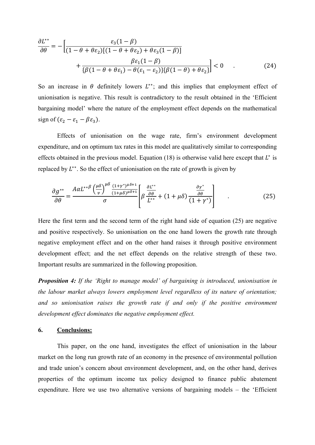$$
\frac{\partial L^{**}}{\partial \theta} = -\left[\frac{\varepsilon_3(1-\beta)}{(1-\theta+\theta\varepsilon_2)[(1-\theta+\theta\varepsilon_2)+\theta\varepsilon_3(1-\beta)]}\n+ \frac{\beta\varepsilon_1(1-\beta)}{\{\beta(1-\theta+\theta\varepsilon_1)-\theta(\varepsilon_1-\varepsilon_2)\}\{\beta(1-\theta)+\theta\varepsilon_2\}}\right] < 0 \quad . \tag{24}
$$

So an increase in  $\theta$  definitely lowers  $L^{**}$ ; and this implies that employment effect of unionisation is negative. This result is contradictory to the result obtained in the 'Efficient bargaining model' where the nature of the employment effect depends on the mathematical sign of  $(\varepsilon_2 - \varepsilon_1 - \beta \varepsilon_3)$ .

Effects of unionisation on the wage rate, firm's environment development expenditure, and on optimum tax rates in this model are qualitatively similar to corresponding effects obtained in the previous model. Equation (18) is otherwise valid here except that  $L^*$  is replaced by  $L^{**}$ . So the effect of unionisation on the rate of growth is given by

$$
\frac{\partial g^{**}}{\partial \theta} = \frac{A \alpha L^{**} \beta \left(\frac{\mu \delta}{\nu}\right)^{\mu \delta} \frac{(1+\gamma^*)^{\mu \delta+1}}{(1+\mu \delta)^{\mu \delta+1}}}{\sigma} \left[ \beta \frac{\frac{\partial L^{**}}{\partial \theta}}{L^{**}} + (1+\mu \delta) \frac{\frac{\partial \gamma^*}{\partial \theta}}{(1+\gamma^*)} \right] \tag{25}
$$

Here the first term and the second term of the right hand side of equation (25) are negative and positive respectively. So unionisation on the one hand lowers the growth rate through negative employment effect and on the other hand raises it through positive environment development effect; and the net effect depends on the relative strength of these two. Important results are summarized in the following proposition.

*Proposition 4: If the 'Right to manage model' of bargaining is introduced, unionisation in the labour market always lowers employment level regardless of its nature of orientation; and so unionisation raises the growth rate if and only if the positive environment development effect dominates the negative employment effect.* 

#### **6. Conclusions:**

This paper, on the one hand, investigates the effect of unionisation in the labour market on the long run growth rate of an economy in the presence of environmental pollution and trade union's concern about environment development, and, on the other hand, derives properties of the optimum income tax policy designed to finance public abatement expenditure. Here we use two alternative versions of bargaining models – the 'Efficient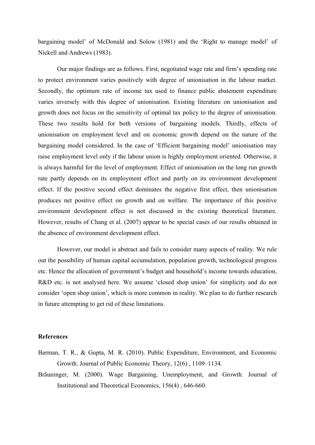bargaining model' of McDonald and Solow (1981) and the 'Right to manage model' of Nickell and Andrews (1983).

Our major findings are as follows. First, negotiated wage rate and firm's spending rate to protect environment varies positively with degree of unionisation in the labour market. Secondly, the optimum rate of income tax used to finance public abatement expenditure varies inversely with this degree of unionisation. Existing literature on unionisation and growth does not focus on the sensitivity of optimal tax policy to the degree of unionisation. These two results hold for both versions of bargaining models. Thirdly, effects of unionisation on employment level and on economic growth depend on the nature of the bargaining model considered. In the case of 'Efficient bargaining model' unionisation may raise employment level only if the labour union is highly employment oriented. Otherwise, it is always harmful for the level of employment. Effect of unionisation on the long run growth rate partly depends on its employment effect and partly on its environment development effect. If the positive second effect dominates the negative first effect, then unionisation produces net positive effect on growth and on welfare. The importance of this positive environment development effect is not discussed in the existing theoretical literature. However, results of Chang et al. (2007) appear to be special cases of our results obtained in the absence of environment development effect.

However, our model is abstract and fails to consider many aspects of reality. We rule out the possibility of human capital accumulation, population growth, technological progress etc. Hence the allocation of government's budget and household's income towards education, R&D etc. is not analysed here. We assume 'closed shop union' for simplicity and do not consider 'open shop union', which is more common in reality. We plan to do further research in future attempting to get rid of these limitations.

#### **References**

- Barman, T. R., & Gupta, M. R. (2010). Public Expenditure, Environment, and Economic Growth. Journal of Public Economic Theory, 12(6) , 1109–1134.
- Bräuninger, M. (2000). Wage Bargaining, Unemployment, and Growth. Journal of Institutional and Theoretical Economics, 156(4) , 646-660.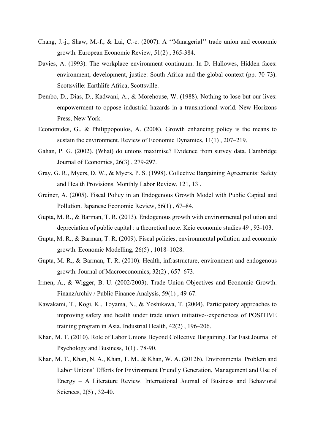- Chang, J.-j., Shaw, M.-f., & Lai, C.-c. (2007). A ''Managerial'' trade union and economic growth. European Economic Review, 51(2) , 365-384.
- Davies, A. (1993). The workplace environment continuum. In D. Hallowes, Hidden faces: environment, development, justice: South Africa and the global context (pp. 70-73). Scottsville: Earthlife Africa, Scottsville.
- Dembo, D., Dias, D., Kadwani, A., & Morehouse, W. (1988). Nothing to lose but our lives: empowerment to oppose industrial hazards in a transnational world. New Horizons Press, New York.
- Economides, G., & Philippopoulos, A. (2008). Growth enhancing policy is the means to sustain the environment. Review of Economic Dynamics, 11(1) , 207–219.
- Gahan, P. G. (2002). (What) do unions maximise? Evidence from survey data. Cambridge Journal of Economics, 26(3) , 279-297.
- Gray, G. R., Myers, D. W., & Myers, P. S. (1998). Collective Bargaining Agreements: Safety and Health Provisions. Monthly Labor Review, 121, 13 .
- Greiner, A. (2005). Fiscal Policy in an Endogenous Growth Model with Public Capital and Pollution. Japanese Economic Review, 56(1) , 67–84.
- Gupta, M. R., & Barman, T. R. (2013). Endogenous growth with environmental pollution and depreciation of public capital : a theoretical note. Keio economic studies 49 , 93-103.
- Gupta, M. R., & Barman, T. R. (2009). Fiscal policies, environmental pollution and economic growth. Economic Modelling, 26(5) , 1018–1028.
- Gupta, M. R., & Barman, T. R. (2010). Health, infrastructure, environment and endogenous growth. Journal of Macroeconomics, 32(2) , 657–673.
- Irmen, A., & Wigger, B. U. (2002/2003). Trade Union Objectives and Economic Growth. FinanzArchiv / Public Finance Analysis, 59(1) , 49-67.
- Kawakami, T., Kogi, K., Toyama, N., & Yoshikawa, T. (2004). Participatory approaches to improving safety and health under trade union initiative--experiences of POSITIVE training program in Asia. Industrial Health, 42(2) , 196–206.
- Khan, M. T. (2010). Role of Labor Unions Beyond Collective Bargaining. Far East Journal of Psychology and Business, 1(1) , 78-90.
- Khan, M. T., Khan, N. A., Khan, T. M., & Khan, W. A. (2012b). Environmental Problem and Labor Unions' Efforts for Environment Friendly Generation, Management and Use of Energy – A Literature Review. International Journal of Business and Behavioral Sciences, 2(5) , 32-40.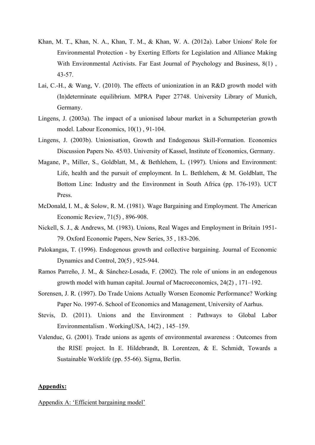- Khan, M. T., Khan, N. A., Khan, T. M., & Khan, W. A. (2012a). Labor Unions' Role for Environmental Protection - by Exerting Efforts for Legislation and Alliance Making With Environmental Activists. Far East Journal of Psychology and Business, 8(1), 43-57.
- Lai, C.-H., & Wang, V. (2010). The effects of unionization in an R&D growth model with (In)determinate equilibrium. MPRA Paper 27748. University Library of Munich, Germany.
- Lingens, J. (2003a). The impact of a unionised labour market in a Schumpeterian growth model. Labour Economics, 10(1) , 91-104.
- Lingens, J. (2003b). Unionisation, Growth and Endogenous Skill-Formation. Economics Discussion Papers No. 45/03. University of Kassel, Institute of Economics, Germany.
- Magane, P., Miller, S., Goldblatt, M., & Bethlehem, L. (1997). Unions and Environment: Life, health and the pursuit of employment. In L. Bethlehem, & M. Goldblatt, The Bottom Line: Industry and the Environment in South Africa (pp. 176-193). UCT Press.
- McDonald, I. M., & Solow, R. M. (1981). Wage Bargaining and Employment. The American Economic Review, 71(5) , 896-908.
- Nickell, S. J., & Andrews, M. (1983). Unions, Real Wages and Employment in Britain 1951- 79. Oxford Economic Papers, New Series, 35 , 183-206.
- Palokangas, T. (1996). Endogenous growth and collective bargaining. Journal of Economic Dynamics and Control, 20(5) , 925-944.
- Ramos Parreño, J. M., & Sánchez-Losada, F. (2002). The role of unions in an endogenous growth model with human capital. Journal of Macroeconomics, 24(2) , 171–192.
- Sorensen, J. R. (1997). Do Trade Unions Actually Worsen Economic Performance? Working Paper No. 1997-6. School of Economics and Management, University of Aarhus.
- Stevis, D. (2011). Unions and the Environment : Pathways to Global Labor Environmentalism . WorkingUSA, 14(2) , 145–159.
- Valenduc, G. (2001). Trade unions as agents of environmental awareness : Outcomes from the RISE project. In E. Hildebrandt, B. Lorentzen, & E. Schmidt, Towards a Sustainable Worklife (pp. 55-66). Sigma, Berlin.

#### **Appendix:**

Appendix A: 'Efficient bargaining model'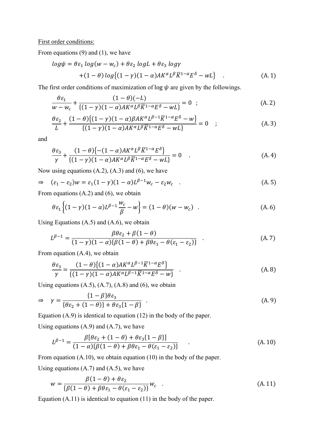First order conditions:

From equations (9) and (1), we have

$$
log\psi = \theta \varepsilon_1 log(w - w_c) + \theta \varepsilon_2 logL + \theta \varepsilon_3 log\gamma
$$
  
+(1 -  $\theta$ ) log{(1 -  $\gamma$ )(1 -  $\alpha$ ) $AK^{\alpha}L^{\beta}\overline{K}^{1-\alpha}\overline{E}^{\delta} - wL$ } (A. 1)

The first order conditions of maximization of log  $\psi$  are given by the followings.

$$
\frac{\theta \varepsilon_1}{w - w_c} + \frac{(1 - \theta)(-L)}{\{(1 - \gamma)(1 - \alpha)AK^{\alpha}L^{\beta}\overline{K}^{1-\alpha}E^{\delta} - wL\}} = 0 \quad ; \tag{A.2}
$$

$$
\frac{\theta \varepsilon_2}{L} + \frac{(1-\theta)\{(1-\gamma)(1-\alpha)\beta A K^{\alpha} L^{\beta-1} \overline{K}^{1-\alpha} E^{\delta} - W\}}{\{(1-\gamma)(1-\alpha)AK^{\alpha} L^{\beta} \overline{K}^{1-\alpha} E^{\delta} - wL\}} = 0 \quad ; \tag{A.3}
$$

and

$$
\frac{\theta \varepsilon_3}{\gamma} + \frac{(1-\theta)\{-(1-\alpha)AK^{\alpha}L^{\beta}\overline{K}^{1-\alpha}E^{\delta}\}}{\{(1-\gamma)(1-\alpha)AK^{\alpha}L^{\beta}\overline{K}^{1-\alpha}E^{\delta}-wL\}} = 0
$$
 (A.4)

Now using equations  $(A.2)$ ,  $(A.3)$  and  $(6)$ , we have

$$
\Rightarrow \quad (\varepsilon_1 - \varepsilon_2)w = \varepsilon_1 (1 - \gamma)(1 - \alpha)L^{\beta - 1}w_c - \varepsilon_2 w_c \quad . \tag{A.5}
$$

From equations (A.2) and (6), we obtain

$$
\theta \varepsilon_1 \left\{ (1 - \gamma)(1 - \alpha)L^{\beta - 1} \frac{w_c}{\beta} - w \right\} = (1 - \theta)(w - w_c) \quad . \tag{A.6}
$$

Using Equations  $(A.5)$  and  $(A.6)$ , we obtain

$$
L^{\beta-1} = \frac{\beta \theta \varepsilon_2 + \beta (1 - \theta)}{(1 - \gamma)(1 - \alpha)\{\beta (1 - \theta) + \beta \theta \varepsilon_1 - \theta (\varepsilon_1 - \varepsilon_2)\}} \tag{A.7}
$$

From equation (A.4), we obtain

$$
\frac{\theta \varepsilon_3}{\gamma} = \frac{(1 - \theta) \{ (1 - \alpha) A K^{\alpha} L^{\beta - 1} \overline{K}^{1 - \alpha} E^{\delta} \}}{\{ (1 - \gamma) (1 - \alpha) A K^{\alpha} L^{\beta - 1} \overline{K}^{1 - \alpha} E^{\delta} - w \}} \quad . \tag{A.8}
$$

Using equations  $(A.5)$ ,  $(A.7)$ ,  $(A.8)$  and  $(6)$ , we obtain

$$
\Rightarrow \quad \gamma = \frac{\{1 - \beta\}\theta\varepsilon_3}{\{\theta\varepsilon_2 + (1 - \theta)\} + \theta\varepsilon_3\{1 - \beta\}} \quad . \tag{A.9}
$$

Equation (A.9) is identical to equation (12) in the body of the paper.

Using equations  $(A.9)$  and  $(A.7)$ , we have

$$
L^{\beta-1} = \frac{\beta[\theta \varepsilon_2 + (1 - \theta) + \theta \varepsilon_3 [1 - \beta]]}{(1 - \alpha)\{\beta(1 - \theta) + \beta \theta \varepsilon_1 - \theta(\varepsilon_1 - \varepsilon_2)\}} \tag{A.10}
$$

From equation (A.10), we obtain equation (10) in the body of the paper.

Using equations  $(A.7)$  and  $(A.5)$ , we have

$$
w = \frac{\beta(1-\theta) + \theta \varepsilon_2}{\{\beta(1-\theta) + \beta\theta\varepsilon_1 - \theta(\varepsilon_1 - \varepsilon_2)\}} w_c
$$
 (A. 11)

Equation (A.11) is identical to equation (11) in the body of the paper.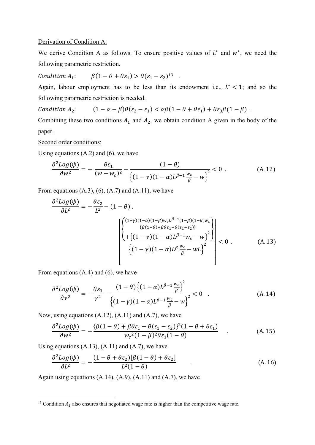#### Derivation of Condition A:

We derive Condition A as follows. To ensure positive values of  $L^*$  and  $w^*$ , we need the following parametric restriction.

Condition 
$$
A_1
$$
:  $\beta(1 - \theta + \theta \varepsilon_1) > \theta(\varepsilon_1 - \varepsilon_2)^{13}$ .

Again, labour employment has to be less than its endowment i.e.,  $L^* < 1$ ; and so the following parametric restriction is needed.

Condition  $A_2$ :  $(1 - \alpha - \beta)\theta(\varepsilon_2 - \varepsilon_1) < \alpha\beta(1 - \theta + \theta\varepsilon_1) + \theta\varepsilon_3\beta(1 - \beta)$ .

Combining these two conditions  $A_1$  and  $A_2$ , we obtain condition A given in the body of the paper.

Second order conditions:

Using equations  $(A.2)$  and  $(6)$ , we have

$$
\frac{\partial^2 Log(\psi)}{\partial w^2} = -\frac{\theta \varepsilon_1}{(w - w_c)^2} - \frac{(1 - \theta)}{\left\{ (1 - \gamma)(1 - \alpha)L^{\beta - 1} \frac{w_c}{\beta} - w \right\}^2} < 0 \tag{A.12}
$$

From equations  $(A.3)$ ,  $(6)$ ,  $(A.7)$  and  $(A.11)$ , we have

$$
\frac{\partial^2 Log(\psi)}{\partial L^2} = -\frac{\theta \varepsilon_2}{L^2} - (1 - \theta).
$$
\n
$$
\left[ \frac{\left( \frac{(1 - \gamma)(1 - \alpha)(1 - \beta)w_c L^{\beta - 1}(1 - \beta)(1 - \theta)w_c}{\{\beta(1 - \theta) + \beta \theta \varepsilon_1 - \theta(\varepsilon_1 - \varepsilon_2)\}} \right)}{\left( \frac{1 + \{(1 - \gamma)(1 - \alpha)L^{\beta - 1}w_c - w\}^2}{\beta} \right)} \right] < 0.
$$
\n(A. 13)

From equations (A.4) and (6), we have

$$
\frac{\partial^2 Log(\psi)}{\partial \gamma^2} = -\frac{\theta \varepsilon_3}{\gamma^2} - \frac{(1-\theta)\left\{(1-\alpha)L^{\beta-1}\frac{w_c}{\beta}\right\}^2}{\left\{(1-\gamma)(1-\alpha)L^{\beta-1}\frac{w_c}{\beta} - w\right\}^2} < 0 \quad . \tag{A.14}
$$

Now, using equations  $(A.12)$ ,  $(A.11)$  and  $(A.7)$ , we have

$$
\frac{\partial^2 Log(\psi)}{\partial w^2} = -\frac{\{\beta(1-\theta) + \beta\theta\varepsilon_1 - \theta(\varepsilon_1 - \varepsilon_2)\}^2(1-\theta + \theta\varepsilon_1)}{w_c^2(1-\beta)^2\theta\varepsilon_1(1-\theta)}\tag{A.15}
$$

Using equations  $(A.13)$ ,  $(A.11)$  and  $(A.7)$ , we have

 $\overline{a}$ 

$$
\frac{\partial^2 Log(\psi)}{\partial L^2} = -\frac{(1 - \theta + \theta \varepsilon_2)[\beta(1 - \theta) + \theta \varepsilon_2]}{L^2(1 - \theta)}
$$
(A. 16)

Again using equations  $(A.14)$ ,  $(A.9)$ ,  $(A.11)$  and  $(A.7)$ , we have

<sup>&</sup>lt;sup>13</sup> Condition  $A_1$  also ensures that negotiated wage rate is higher than the competitive wage rate.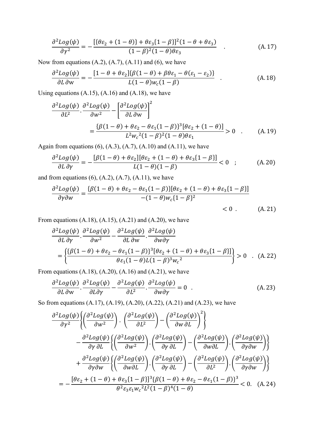$$
\frac{\partial^2 Log(\psi)}{\partial \gamma^2} = -\frac{[\{\theta \varepsilon_2 + (1 - \theta)\} + \theta \varepsilon_3 (1 - \beta)]^2 (1 - \theta + \theta \varepsilon_3)}{(1 - \beta)^2 (1 - \theta) \theta \varepsilon_3} \quad . \tag{A.17}
$$

Now from equations  $(A.2)$ ,  $(A.7)$ ,  $(A.11)$  and  $(6)$ , we have

$$
\frac{\partial^2 Log(\psi)}{\partial L \partial w} = -\frac{[1 - \theta + \theta \varepsilon_2] \{\beta (1 - \theta) + \beta \theta \varepsilon_1 - \theta (\varepsilon_1 - \varepsilon_2)\}}{L(1 - \theta) w_c (1 - \beta)} \quad . \tag{A.18}
$$

Using equations  $(A.15)$ ,  $(A.16)$  and  $(A.18)$ , we have

$$
\frac{\partial^2 Log(\psi)}{\partial L^2} \cdot \frac{\partial^2 Log(\psi)}{\partial w^2} - \left[ \frac{\partial^2 Log(\psi)}{\partial L \partial w} \right]^2
$$
  
= 
$$
\frac{\{\beta(1-\theta) + \theta \varepsilon_2 - \theta \varepsilon_1 (1-\beta)\}^3 [\theta \varepsilon_2 + (1-\theta)]}{L^2 w_c^2 (1-\beta)^2 (1-\theta) \theta \varepsilon_1} > 0
$$
 (A. 19)

Again from equations  $(6)$ ,  $(A.3)$ ,  $(A.7)$ ,  $(A.10)$  and  $(A.11)$ , we have

$$
\frac{\partial^2 Log(\psi)}{\partial L \partial \gamma} = -\frac{\left[\beta(1-\theta) + \theta \varepsilon_2\right] \left[\theta \varepsilon_2 + (1-\theta) + \theta \varepsilon_3 \{1-\beta\}\right]}{L(1-\theta)(1-\beta)} < 0 \quad ; \tag{A.20}
$$

and from equations  $(6)$ ,  $(A.2)$ ,  $(A.7)$ ,  $(A.11)$ , we have

$$
\frac{\partial^2 Log(\psi)}{\partial \gamma \partial w} = \frac{\{\beta(1-\theta) + \theta \varepsilon_2 - \theta \varepsilon_1 (1-\beta)\} [\theta \varepsilon_2 + (1-\theta) + \theta \varepsilon_3 (1-\beta)]}{-(1-\theta)w_c \{1-\beta\}^2} < 0.
$$
 (A.21)

From equations  $(A.18)$ ,  $(A.15)$ ,  $(A.21)$  and  $(A.20)$ , we have

$$
\frac{\partial^2 Log(\psi)}{\partial L \partial \gamma} \cdot \frac{\partial^2 Log(\psi)}{\partial w^2} - \frac{\partial^2 Log(\psi)}{\partial L \partial w} \cdot \frac{\partial^2 Log(\psi)}{\partial w \partial \gamma}
$$
\n
$$
= \left\{ \frac{\{\beta(1-\theta) + \theta \varepsilon_2 - \theta \varepsilon_1 (1-\beta)\}^3 [\theta \varepsilon_2 + (1-\theta) + \theta \varepsilon_3 (1-\beta)]\}}{\theta \varepsilon_1 (1-\theta) L (1-\beta)^3 w_c^2} \right\} > 0 \quad . \quad \text{(A. 22)}
$$

From equations  $(A.18)$ ,  $(A.20)$ ,  $(A.16)$  and  $(A.21)$ , we have

$$
\frac{\partial^2 Log(\psi)}{\partial L \partial w} \cdot \frac{\partial^2 Log(\psi)}{\partial L \partial \gamma} - \frac{\partial^2 Log(\psi)}{\partial L^2} \cdot \frac{\partial^2 Log(\psi)}{\partial w \partial \gamma} = 0
$$
 (A. 23)

So from equations (A.17), (A.19), (A.20), (A.22), (A.21) and (A.23), we have

$$
\frac{\partial^2 Log(\psi)}{\partial \gamma^2} \left\{ \left( \frac{\partial^2 Log(\psi)}{\partial w^2} \right) \cdot \left( \frac{\partial^2 Log(\psi)}{\partial L^2} \right) - \left( \frac{\partial^2 Log(\psi)}{\partial w \partial L} \right)^2 \right\}
$$

$$
- \frac{\partial^2 Log(\psi)}{\partial \gamma \partial L} \left\{ \left( \frac{\partial^2 Log(\psi)}{\partial w^2} \right) \cdot \left( \frac{\partial^2 Log(\psi)}{\partial \gamma \partial L} \right) - \left( \frac{\partial^2 Log(\psi)}{\partial w \partial L} \right) \cdot \left( \frac{\partial^2 Log(\psi)}{\partial \gamma \partial w} \right) \right\}
$$

$$
+ \frac{\partial^2 Log(\psi)}{\partial \gamma \partial w} \left\{ \left( \frac{\partial^2 Log(\psi)}{\partial w \partial L} \right) \cdot \left( \frac{\partial^2 Log(\psi)}{\partial \gamma \partial L} \right) - \left( \frac{\partial^2 Log(\psi)}{\partial L^2} \right) \cdot \left( \frac{\partial^2 Log(\psi)}{\partial \gamma \partial w} \right) \right\}
$$

$$
= - \frac{\left[ \theta \varepsilon_2 + (1 - \theta) + \theta \varepsilon_3 \{ 1 - \beta \} \right]^3 \left\{ \beta (1 - \theta) + \theta \varepsilon_2 - \theta \varepsilon_1 (1 - \beta) \right\}^3}{\theta^2 \varepsilon_3 \varepsilon_1 w_c^2 L^2 (1 - \beta)^4 (1 - \theta)} < 0. \quad (A. 24)
$$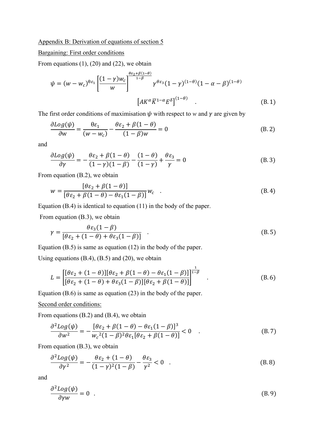#### Appendix B: Derivation of equations of section 5

#### Bargaining: First order conditions

From equations  $(1)$ ,  $(20)$  and  $(22)$ , we obtain

$$
\psi = (w - w_c)^{\theta \varepsilon_1} \left[ \frac{(1 - \gamma)w_c}{w} \right]^{\frac{\theta \varepsilon_2 + \beta(1 - \theta)}{1 - \beta}} \gamma^{\theta \varepsilon_3} (1 - \gamma)^{(1 - \theta)} (1 - \alpha - \beta)^{(1 - \theta)}
$$
\n
$$
\left[ AK^{\alpha} \overline{K}^{1 - \alpha} E^{\delta} \right]^{(1 - \theta)} . \tag{B.1}
$$

The first order conditions of maximisation  $\psi$  with respect to *w* and  $\gamma$  are given by

$$
\frac{\partial Log(\psi)}{\partial w} = \frac{\theta \varepsilon_1}{(w - w_c)} - \frac{\theta \varepsilon_2 + \beta (1 - \theta)}{(1 - \beta)w} = 0
$$
 (B. 2)

and

$$
\frac{\partial \text{Log}(\psi)}{\partial \gamma} = -\frac{\theta \varepsilon_2 + \beta (1 - \theta)}{(1 - \gamma)(1 - \beta)} - \frac{(1 - \theta)}{(1 - \gamma)} + \frac{\theta \varepsilon_3}{\gamma} = 0
$$
(B. 3)

From equation (B.2), we obtain

$$
w = \frac{\left[\theta\varepsilon_2 + \beta(1-\theta)\right]}{\left[\theta\varepsilon_2 + \beta(1-\theta) - \theta\varepsilon_1(1-\beta)\right]} w_c \quad . \tag{B.4}
$$

Equation (B.4) is identical to equation (11) in the body of the paper.

From equation (B.3), we obtain

$$
\gamma = \frac{\theta \varepsilon_3 (1 - \beta)}{[\theta \varepsilon_2 + (1 - \theta) + \theta \varepsilon_3 (1 - \beta)]} \quad . \tag{B.5}
$$

Equation (B.5) is same as equation (12) in the body of the paper.

Using equations  $(B.4)$ ,  $(B.5)$  and  $(20)$ , we obtain

$$
L = \left[ \frac{[\theta \varepsilon_2 + (1 - \theta)][\theta \varepsilon_2 + \beta(1 - \theta) - \theta \varepsilon_1(1 - \beta)]}{[\theta \varepsilon_2 + (1 - \theta) + \theta \varepsilon_3(1 - \beta)][\theta \varepsilon_2 + \beta(1 - \theta)]} \right]^{1-\beta} \quad . \tag{B.6}
$$

Equation (B.6) is same as equation (23) in the body of the paper.

#### Second order conditions:

From equations (B.2) and (B.4), we obtain

$$
\frac{\partial^2 Log(\psi)}{\partial w^2} = -\frac{[\theta \varepsilon_2 + \beta (1 - \theta) - \theta \varepsilon_1 (1 - \beta)]^3}{w_c^2 (1 - \beta)^2 \theta \varepsilon_1 [\theta \varepsilon_2 + \beta (1 - \theta)]} < 0 \quad . \tag{B.7}
$$

From equation (B.3), we obtain

$$
\frac{\partial^2 Log(\psi)}{\partial \gamma^2} = -\frac{\theta \varepsilon_2 + (1 - \theta)}{(1 - \gamma)^2 (1 - \beta)} - \frac{\theta \varepsilon_3}{\gamma^2} < 0 \quad . \tag{B.8}
$$

and

$$
\frac{\partial^2 Log(\psi)}{\partial \gamma w} = 0 \quad . \tag{B.9}
$$